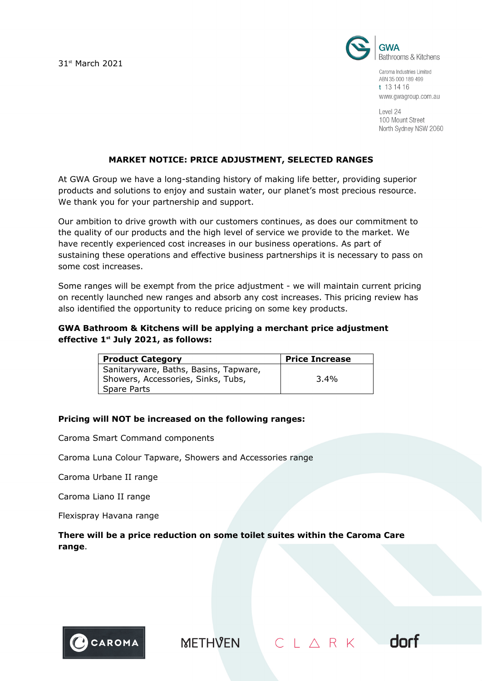31st March 2021



Caroma Industries Limited ABN 35 000 189 499 t 13 14 16 www.gwagroup.com.au

Level 24 100 Mount Street North Sydney NSW 2060

dorf

 $CL \triangle R K$ 

#### **MARKET NOTICE: PRICE ADJUSTMENT, SELECTED RANGES**

At GWA Group we have a long-standing history of making life better, providing superior products and solutions to enjoy and sustain water, our planet's most precious resource. We thank you for your partnership and support.

Our ambition to drive growth with our customers continues, as does our commitment to the quality of our products and the high level of service we provide to the market. We have recently experienced cost increases in our business operations. As part of sustaining these operations and effective business partnerships it is necessary to pass on some cost increases.

Some ranges will be exempt from the price adjustment - we will maintain current pricing on recently launched new ranges and absorb any cost increases. This pricing review has also identified the opportunity to reduce pricing on some key products.

# **GWA Bathroom & Kitchens will be applying a merchant price adjustment effective 1st July 2021, as follows:**

| <b>Product Category</b>                                                                    | <b>Price Increase</b> |
|--------------------------------------------------------------------------------------------|-----------------------|
| Sanitaryware, Baths, Basins, Tapware,<br>Showers, Accessories, Sinks, Tubs,<br>Spare Parts | 3.4%                  |

#### **Pricing will NOT be increased on the following ranges:**

Caroma Smart Command components

Caroma Luna Colour Tapware, Showers and Accessories range

Caroma Urbane II range

Caroma Liano II range

Flexispray Havana range

**There will be a price reduction on some toilet suites within the Caroma Care range**.



**METHVEN**